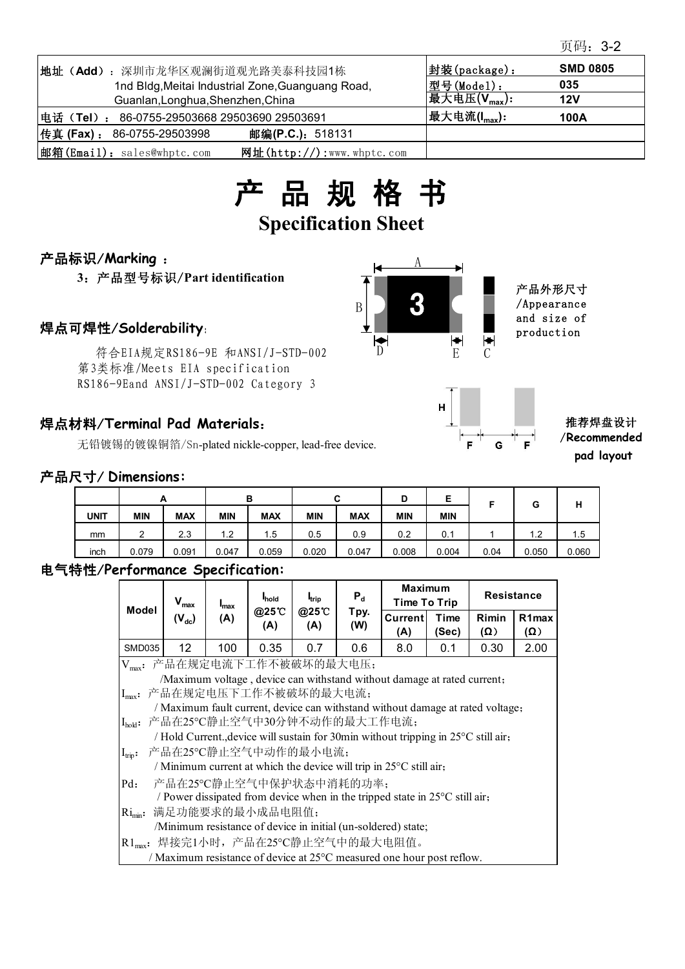| 地址(Add): 深圳市龙华区观澜街道观光路美泰科技园1栋                                                  | 封装(package):              | <b>SMD 0805</b> |
|--------------------------------------------------------------------------------|---------------------------|-----------------|
| 1nd Bldg, Meitai Industrial Zone, Guanguang Road,                              | 型号(Model):                | 035             |
| Guanlan, Longhua, Shenzhen, China                                              | 最大电压 $(V_{\text{max}})$ : | 12V             |
| 电话 (Tel): 86-0755-29503668 29503690 29503691                                   | 最大电流( $I_{max}$ ):        | 100A            |
| $ $ 传真 (Fax) :<br>邮编( <b>P.C.</b> ): 518131<br>86-0755-29503998                |                           |                 |
| $ \text{iff}(\text{Email})$ : sales@whptc.com<br>网址( $http://$ ):www.whptc.com |                           |                 |



## 产品标识/**Marking** :

**3**:产品型号标识/**Part identification**

符合EIA规定RS186-9E 和ANSI/J-STD-002 第3类标准/Meets EIA specification RS186-9Eand ANSI/J-STD-002 Category 3

## 焊点材料/**Terminal Pad Materials**:

无铅镀锡的镀镍铜箔/Sn-plated nickle-copper, lead-free device.

#### 产品尺寸/ **Dimensions:**

|             |            | <u>_</u>   |            | B          | ◠<br>ັ     |            | D          | E                  |      | G     | н     |
|-------------|------------|------------|------------|------------|------------|------------|------------|--------------------|------|-------|-------|
| <b>UNIT</b> | <b>MIN</b> | <b>MAX</b> | <b>MIN</b> | <b>MAX</b> | <b>MIN</b> | <b>MAX</b> | <b>MIN</b> | <b>MIN</b>         |      |       |       |
| mm          | ົ<br>_     | 2.3        | ⌒<br>.     | 1.5        | 0.5        | 0.9        | 0.2        | $^{\circ}$ 1<br>v. |      | 1.2   | ا 5.  |
| inch        | 0.079      | 0.091      | 0.047      | 0.059      | 0.020      | 0.047      | 0.008      | 0.004              | 0.04 | 0.050 | 0.060 |

## 电气特性/**Performance Specification:**

| <b>Model</b>                                                                                                                                                                                     | $V_{\text{max}}$<br>$(V_{dc})$                                                                                                                                                                                                                                                                                                                                                         | $I_{\text{max}}$<br>(A) | <b>I</b> hold<br>@25°C<br>(A) | <b>I</b> trip<br>@25°C<br>(A) | $P_d$<br>Tpy.<br>(W) | <b>Maximum</b><br>Time To Trip |               | <b>Resistance</b>   |                                  |  |  |
|--------------------------------------------------------------------------------------------------------------------------------------------------------------------------------------------------|----------------------------------------------------------------------------------------------------------------------------------------------------------------------------------------------------------------------------------------------------------------------------------------------------------------------------------------------------------------------------------------|-------------------------|-------------------------------|-------------------------------|----------------------|--------------------------------|---------------|---------------------|----------------------------------|--|--|
|                                                                                                                                                                                                  |                                                                                                                                                                                                                                                                                                                                                                                        |                         |                               |                               |                      | Currentl<br>(A)                | Time<br>(Sec) | Rimin<br>$(\Omega)$ | R <sub>1</sub> max<br>$(\Omega)$ |  |  |
| SMD035                                                                                                                                                                                           | 12                                                                                                                                                                                                                                                                                                                                                                                     | 100                     | 0.35                          | 0.7                           | 0.6                  | 8.0                            | 0.1           | 0.30                | 2.00                             |  |  |
| $V_{max}$ :                                                                                                                                                                                      | 产品在规定电流下工作不被破坏的最大电压;<br>/Maximum voltage, device can withstand without damage at rated current;<br>Imax: 产品在规定电压下工作不被破坏的最大电流;<br>/ Maximum fault current, device can withstand without damage at rated voltage;<br>[I <sub>hold</sub> : 产品在25℃静止空气中30分钟不动作的最大工作电流;<br>/ Hold Current., device will sustain for 30min without tripping in 25°C still air,<br>Irip: 产品在25°C静止空气中动作的最小电流; |                         |                               |                               |                      |                                |               |                     |                                  |  |  |
| / Minimum current at which the device will trip in $25^{\circ}$ C still air,<br>产品在25°C静止空气中保护状态中消耗的功率;<br>$Pd$ :<br>/ Power dissipated from device when in the tripped state in 25°C still air, |                                                                                                                                                                                                                                                                                                                                                                                        |                         |                               |                               |                      |                                |               |                     |                                  |  |  |
|                                                                                                                                                                                                  | Ri <sub>min</sub> : 满足功能要求的最小成品电阻值;<br>/Minimum resistance of device in initial (un-soldered) state;                                                                                                                                                                                                                                                                                   |                         |                               |                               |                      |                                |               |                     |                                  |  |  |
|                                                                                                                                                                                                  | R1 <sub>max</sub> : 焊接完1小时, 产品在25℃静止空气中的最大电阻值。                                                                                                                                                                                                                                                                                                                                         |                         |                               |                               |                      |                                |               |                     |                                  |  |  |
| / Maximum resistance of device at 25 <sup>o</sup> C measured one hour post reflow.                                                                                                               |                                                                                                                                                                                                                                                                                                                                                                                        |                         |                               |                               |                      |                                |               |                     |                                  |  |  |





#### 推荐焊盘设计 /**Recommended pad layout**